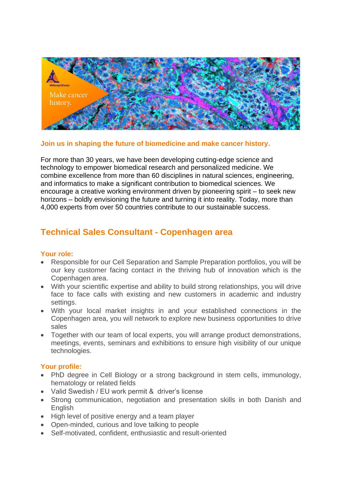

## **Join us in shaping the future of biomedicine and make cancer history.**

For more than 30 years, we have been developing cutting-edge science and technology to empower biomedical research and personalized medicine. We combine excellence from more than 60 disciplines in natural sciences, engineering, and informatics to make a significant contribution to biomedical sciences. We encourage a creative working environment driven by pioneering spirit – to seek new horizons – boldly envisioning the future and turning it into reality. Today, more than 4,000 experts from over 50 countries contribute to our sustainable success.

# **Technical Sales Consultant - Copenhagen area**

## **Your role:**

- Responsible for our Cell Separation and Sample Preparation portfolios, you will be our key customer facing contact in the thriving hub of innovation which is the Copenhagen area.
- With your scientific expertise and ability to build strong relationships, you will drive face to face calls with existing and new customers in academic and industry settings.
- With your local market insights in and your established connections in the Copenhagen area, you will network to explore new business opportunities to drive sales
- Together with our team of local experts, you will arrange product demonstrations, meetings, events, seminars and exhibitions to ensure high visibility of our unique technologies.

# **Your profile:**

- PhD degree in Cell Biology or a strong background in stem cells, immunology, hematology or related fields
- Valid Swedish / EU work permit & driver's license
- Strong communication, negotiation and presentation skills in both Danish and **English**
- High level of positive energy and a team player
- Open-minded, curious and love talking to people
- Self-motivated, confident, enthusiastic and result-oriented